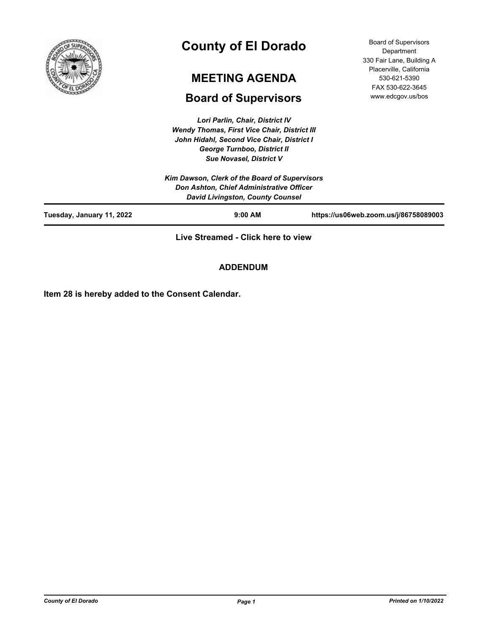

# **County of El Dorado**

## **MEETING AGENDA**

## **Board of Supervisors**

*Lori Parlin, Chair, District IV Wendy Thomas, First Vice Chair, District III John Hidahl, Second Vice Chair, District I George Turnboo, District II Sue Novasel, District V*

Board of Supervisors Department 330 Fair Lane, Building A Placerville, California 530-621-5390 FAX 530-622-3645 www.edcgov.us/bos

| Tuesday, January 11, 2022 | $9:00$ AM                                     | https://us06web.zoom.us/j/86758089003 |
|---------------------------|-----------------------------------------------|---------------------------------------|
|                           | <b>David Livingston, County Counsel</b>       |                                       |
|                           | Don Ashton, Chief Administrative Officer      |                                       |
|                           | Kim Dawson, Clerk of the Board of Supervisors |                                       |
|                           | <b>Sue Novasel, District V</b>                |                                       |
|                           | <b>George Turnpoo, District II</b>            |                                       |

**Live Streamed - Click here to view**

**ADDENDUM**

**Item 28 is hereby added to the Consent Calendar.**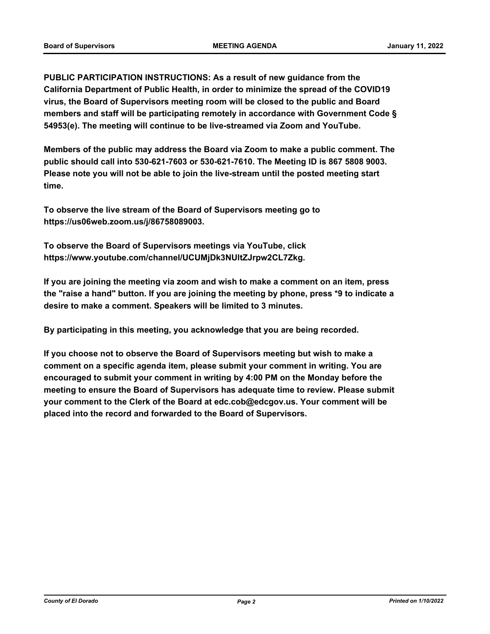**PUBLIC PARTICIPATION INSTRUCTIONS: As a result of new guidance from the California Department of Public Health, in order to minimize the spread of the COVID19 virus, the Board of Supervisors meeting room will be closed to the public and Board members and staff will be participating remotely in accordance with Government Code § 54953(e). The meeting will continue to be live-streamed via Zoom and YouTube.**

**Members of the public may address the Board via Zoom to make a public comment. The public should call into 530-621-7603 or 530-621-7610. The Meeting ID is 867 5808 9003. Please note you will not be able to join the live-stream until the posted meeting start time.**

**To observe the live stream of the Board of Supervisors meeting go to https://us06web.zoom.us/j/86758089003.**

**To observe the Board of Supervisors meetings via YouTube, click https://www.youtube.com/channel/UCUMjDk3NUltZJrpw2CL7Zkg.**

**If you are joining the meeting via zoom and wish to make a comment on an item, press the "raise a hand" button. If you are joining the meeting by phone, press \*9 to indicate a desire to make a comment. Speakers will be limited to 3 minutes.**

**By participating in this meeting, you acknowledge that you are being recorded.**

**If you choose not to observe the Board of Supervisors meeting but wish to make a comment on a specific agenda item, please submit your comment in writing. You are encouraged to submit your comment in writing by 4:00 PM on the Monday before the meeting to ensure the Board of Supervisors has adequate time to review. Please submit your comment to the Clerk of the Board at edc.cob@edcgov.us. Your comment will be placed into the record and forwarded to the Board of Supervisors.**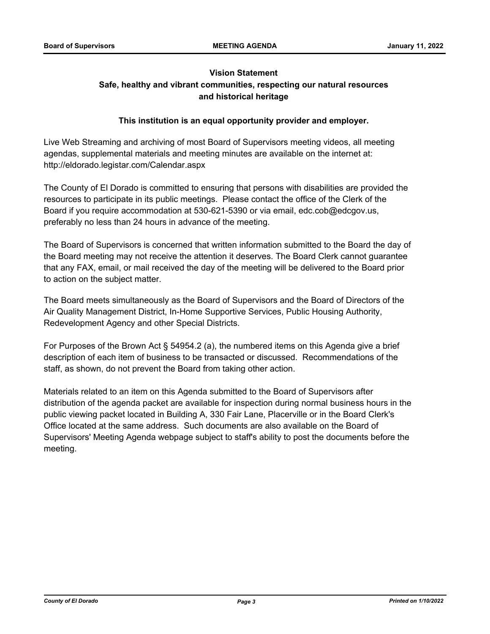## **Vision Statement Safe, healthy and vibrant communities, respecting our natural resources and historical heritage**

## **This institution is an equal opportunity provider and employer.**

Live Web Streaming and archiving of most Board of Supervisors meeting videos, all meeting agendas, supplemental materials and meeting minutes are available on the internet at: http://eldorado.legistar.com/Calendar.aspx

The County of El Dorado is committed to ensuring that persons with disabilities are provided the resources to participate in its public meetings. Please contact the office of the Clerk of the Board if you require accommodation at 530-621-5390 or via email, edc.cob@edcgov.us, preferably no less than 24 hours in advance of the meeting.

The Board of Supervisors is concerned that written information submitted to the Board the day of the Board meeting may not receive the attention it deserves. The Board Clerk cannot guarantee that any FAX, email, or mail received the day of the meeting will be delivered to the Board prior to action on the subject matter.

The Board meets simultaneously as the Board of Supervisors and the Board of Directors of the Air Quality Management District, In-Home Supportive Services, Public Housing Authority, Redevelopment Agency and other Special Districts.

For Purposes of the Brown Act § 54954.2 (a), the numbered items on this Agenda give a brief description of each item of business to be transacted or discussed. Recommendations of the staff, as shown, do not prevent the Board from taking other action.

Materials related to an item on this Agenda submitted to the Board of Supervisors after distribution of the agenda packet are available for inspection during normal business hours in the public viewing packet located in Building A, 330 Fair Lane, Placerville or in the Board Clerk's Office located at the same address. Such documents are also available on the Board of Supervisors' Meeting Agenda webpage subject to staff's ability to post the documents before the meeting.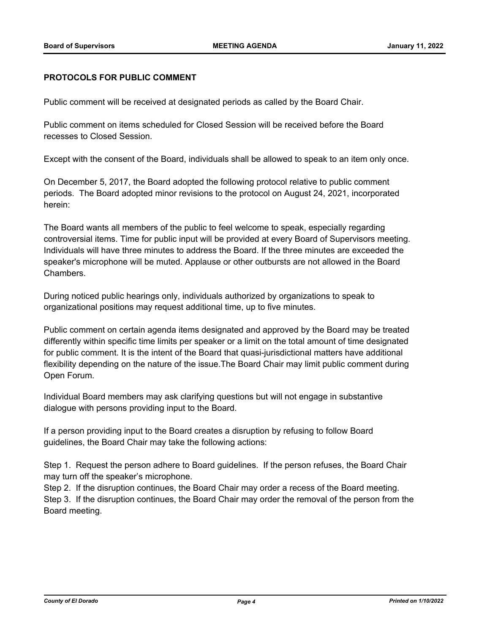## **PROTOCOLS FOR PUBLIC COMMENT**

Public comment will be received at designated periods as called by the Board Chair.

Public comment on items scheduled for Closed Session will be received before the Board recesses to Closed Session.

Except with the consent of the Board, individuals shall be allowed to speak to an item only once.

On December 5, 2017, the Board adopted the following protocol relative to public comment periods. The Board adopted minor revisions to the protocol on August 24, 2021, incorporated herein:

The Board wants all members of the public to feel welcome to speak, especially regarding controversial items. Time for public input will be provided at every Board of Supervisors meeting. Individuals will have three minutes to address the Board. If the three minutes are exceeded the speaker's microphone will be muted. Applause or other outbursts are not allowed in the Board Chambers.

During noticed public hearings only, individuals authorized by organizations to speak to organizational positions may request additional time, up to five minutes.

Public comment on certain agenda items designated and approved by the Board may be treated differently within specific time limits per speaker or a limit on the total amount of time designated for public comment. It is the intent of the Board that quasi-jurisdictional matters have additional flexibility depending on the nature of the issue.The Board Chair may limit public comment during Open Forum.

Individual Board members may ask clarifying questions but will not engage in substantive dialogue with persons providing input to the Board.

If a person providing input to the Board creates a disruption by refusing to follow Board guidelines, the Board Chair may take the following actions:

Step 1. Request the person adhere to Board guidelines. If the person refuses, the Board Chair may turn off the speaker's microphone.

Step 2. If the disruption continues, the Board Chair may order a recess of the Board meeting. Step 3. If the disruption continues, the Board Chair may order the removal of the person from the Board meeting.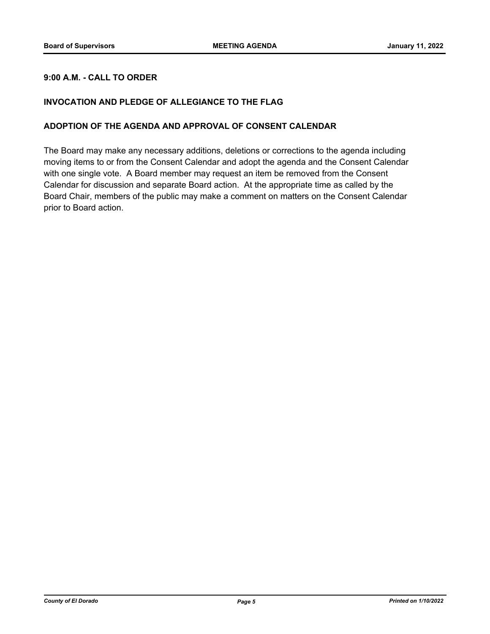## **9:00 A.M. - CALL TO ORDER**

## **INVOCATION AND PLEDGE OF ALLEGIANCE TO THE FLAG**

## **ADOPTION OF THE AGENDA AND APPROVAL OF CONSENT CALENDAR**

The Board may make any necessary additions, deletions or corrections to the agenda including moving items to or from the Consent Calendar and adopt the agenda and the Consent Calendar with one single vote. A Board member may request an item be removed from the Consent Calendar for discussion and separate Board action. At the appropriate time as called by the Board Chair, members of the public may make a comment on matters on the Consent Calendar prior to Board action.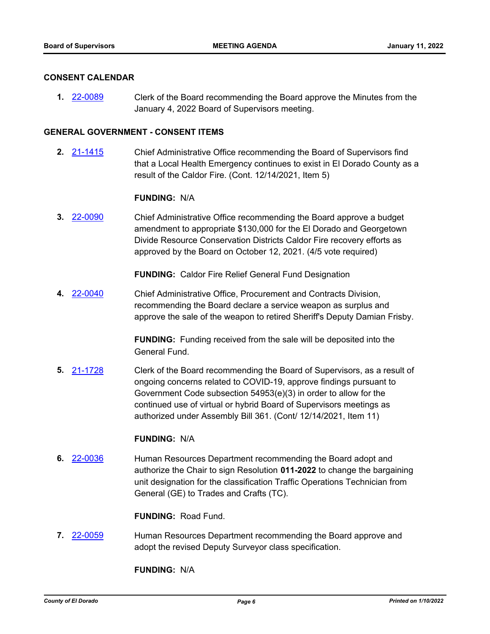#### **CONSENT CALENDAR**

**1.** [22-0089](http://eldorado.legistar.com/gateway.aspx?m=l&id=/matter.aspx?key=30989) Clerk of the Board recommending the Board approve the Minutes from the January 4, 2022 Board of Supervisors meeting.

#### **GENERAL GOVERNMENT - CONSENT ITEMS**

**2.** [21-1415](http://eldorado.legistar.com/gateway.aspx?m=l&id=/matter.aspx?key=30310) Chief Administrative Office recommending the Board of Supervisors find that a Local Health Emergency continues to exist in El Dorado County as a result of the Caldor Fire. (Cont. 12/14/2021, Item 5)

#### **FUNDING:** N/A

**3.** [22-0090](http://eldorado.legistar.com/gateway.aspx?m=l&id=/matter.aspx?key=30990) Chief Administrative Office recommending the Board approve a budget amendment to appropriate \$130,000 for the El Dorado and Georgetown Divide Resource Conservation Districts Caldor Fire recovery efforts as approved by the Board on October 12, 2021. (4/5 vote required)

**FUNDING:** Caldor Fire Relief General Fund Designation

**4.** [22-0040](http://eldorado.legistar.com/gateway.aspx?m=l&id=/matter.aspx?key=30940) Chief Administrative Office, Procurement and Contracts Division, recommending the Board declare a service weapon as surplus and approve the sale of the weapon to retired Sheriff's Deputy Damian Frisby.

> **FUNDING:** Funding received from the sale will be deposited into the General Fund.

**5.** [21-1728](http://eldorado.legistar.com/gateway.aspx?m=l&id=/matter.aspx?key=30623) Clerk of the Board recommending the Board of Supervisors, as a result of ongoing concerns related to COVID-19, approve findings pursuant to Government Code subsection 54953(e)(3) in order to allow for the continued use of virtual or hybrid Board of Supervisors meetings as authorized under Assembly Bill 361. (Cont/ 12/14/2021, Item 11)

#### **FUNDING:** N/A

**6.** [22-0036](http://eldorado.legistar.com/gateway.aspx?m=l&id=/matter.aspx?key=30936) Human Resources Department recommending the Board adopt and authorize the Chair to sign Resolution **011-2022** to change the bargaining unit designation for the classification Traffic Operations Technician from General (GE) to Trades and Crafts (TC).

**FUNDING:** Road Fund.

**7.** [22-0059](http://eldorado.legistar.com/gateway.aspx?m=l&id=/matter.aspx?key=30959) Human Resources Department recommending the Board approve and adopt the revised Deputy Surveyor class specification.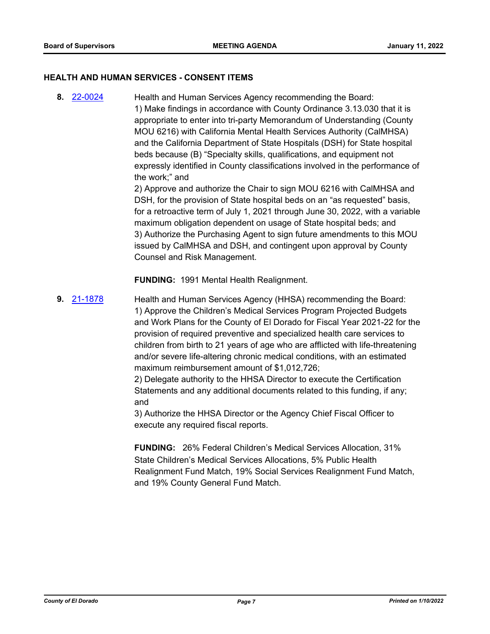#### **HEALTH AND HUMAN SERVICES - CONSENT ITEMS**

**8.** [22-0024](http://eldorado.legistar.com/gateway.aspx?m=l&id=/matter.aspx?key=30924) Health and Human Services Agency recommending the Board: 1) Make findings in accordance with County Ordinance 3.13.030 that it is appropriate to enter into tri-party Memorandum of Understanding (County MOU 6216) with California Mental Health Services Authority (CalMHSA) and the California Department of State Hospitals (DSH) for State hospital beds because (B) "Specialty skills, qualifications, and equipment not expressly identified in County classifications involved in the performance of the work;" and

2) Approve and authorize the Chair to sign MOU 6216 with CalMHSA and DSH, for the provision of State hospital beds on an "as requested" basis, for a retroactive term of July 1, 2021 through June 30, 2022, with a variable maximum obligation dependent on usage of State hospital beds; and 3) Authorize the Purchasing Agent to sign future amendments to this MOU issued by CalMHSA and DSH, and contingent upon approval by County Counsel and Risk Management.

**FUNDING:** 1991 Mental Health Realignment.

**9.** [21-1878](http://eldorado.legistar.com/gateway.aspx?m=l&id=/matter.aspx?key=30774) Health and Human Services Agency (HHSA) recommending the Board: 1) Approve the Children's Medical Services Program Projected Budgets and Work Plans for the County of El Dorado for Fiscal Year 2021-22 for the provision of required preventive and specialized health care services to children from birth to 21 years of age who are afflicted with life-threatening and/or severe life-altering chronic medical conditions, with an estimated maximum reimbursement amount of \$1,012,726;

> 2) Delegate authority to the HHSA Director to execute the Certification Statements and any additional documents related to this funding, if any; and

3) Authorize the HHSA Director or the Agency Chief Fiscal Officer to execute any required fiscal reports.

**FUNDING:** 26% Federal Children's Medical Services Allocation, 31% State Children's Medical Services Allocations, 5% Public Health Realignment Fund Match, 19% Social Services Realignment Fund Match, and 19% County General Fund Match.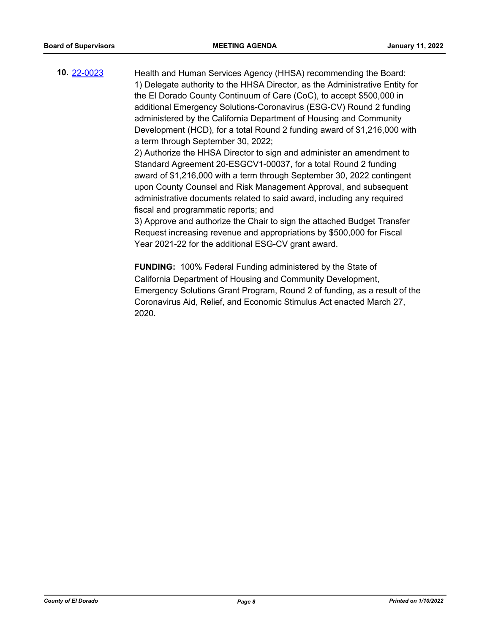**10.** [22-0023](http://eldorado.legistar.com/gateway.aspx?m=l&id=/matter.aspx?key=30923) Health and Human Services Agency (HHSA) recommending the Board: 1) Delegate authority to the HHSA Director, as the Administrative Entity for the El Dorado County Continuum of Care (CoC), to accept \$500,000 in additional Emergency Solutions-Coronavirus (ESG-CV) Round 2 funding administered by the California Department of Housing and Community Development (HCD), for a total Round 2 funding award of \$1,216,000 with a term through September 30, 2022;

2) Authorize the HHSA Director to sign and administer an amendment to Standard Agreement 20-ESGCV1-00037, for a total Round 2 funding award of \$1,216,000 with a term through September 30, 2022 contingent upon County Counsel and Risk Management Approval, and subsequent administrative documents related to said award, including any required fiscal and programmatic reports; and

3) Approve and authorize the Chair to sign the attached Budget Transfer Request increasing revenue and appropriations by \$500,000 for Fiscal Year 2021-22 for the additional ESG-CV grant award.

**FUNDING:** 100% Federal Funding administered by the State of California Department of Housing and Community Development, Emergency Solutions Grant Program, Round 2 of funding, as a result of the Coronavirus Aid, Relief, and Economic Stimulus Act enacted March 27, 2020.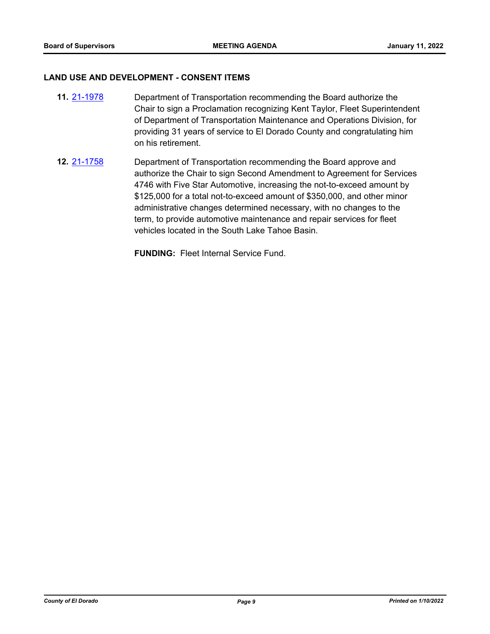#### **LAND USE AND DEVELOPMENT - CONSENT ITEMS**

- **11.** [21-1978](http://eldorado.legistar.com/gateway.aspx?m=l&id=/matter.aspx?key=30874) Department of Transportation recommending the Board authorize the Chair to sign a Proclamation recognizing Kent Taylor, Fleet Superintendent of Department of Transportation Maintenance and Operations Division, for providing 31 years of service to El Dorado County and congratulating him on his retirement.
- **12.** [21-1758](http://eldorado.legistar.com/gateway.aspx?m=l&id=/matter.aspx?key=30654) Department of Transportation recommending the Board approve and authorize the Chair to sign Second Amendment to Agreement for Services 4746 with Five Star Automotive, increasing the not-to-exceed amount by \$125,000 for a total not-to-exceed amount of \$350,000, and other minor administrative changes determined necessary, with no changes to the term, to provide automotive maintenance and repair services for fleet vehicles located in the South Lake Tahoe Basin.

**FUNDING:** Fleet Internal Service Fund.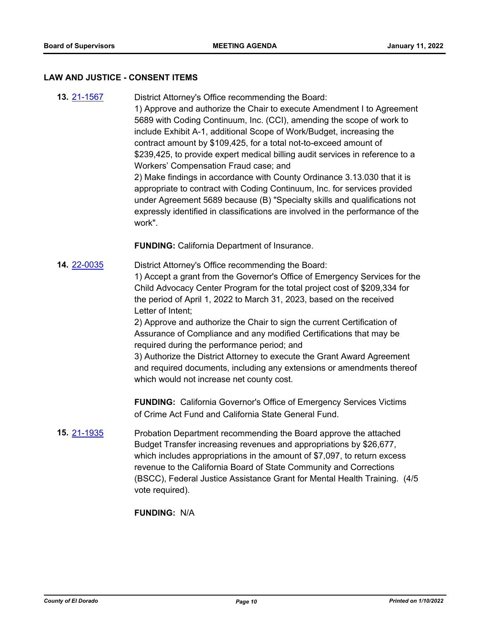#### **LAW AND JUSTICE - CONSENT ITEMS**

**13.** [21-1567](http://eldorado.legistar.com/gateway.aspx?m=l&id=/matter.aspx?key=30462) District Attorney's Office recommending the Board: 1) Approve and authorize the Chair to execute Amendment I to Agreement 5689 with Coding Continuum, Inc. (CCI), amending the scope of work to include Exhibit A-1, additional Scope of Work/Budget, increasing the contract amount by \$109,425, for a total not-to-exceed amount of \$239,425, to provide expert medical billing audit services in reference to a Workers' Compensation Fraud case; and 2) Make findings in accordance with County Ordinance 3.13.030 that it is appropriate to contract with Coding Continuum, Inc. for services provided under Agreement 5689 because (B) "Specialty skills and qualifications not expressly identified in classifications are involved in the performance of the work". **FUNDING:** California Department of Insurance. **14.** [22-0035](http://eldorado.legistar.com/gateway.aspx?m=l&id=/matter.aspx?key=30935) District Attorney's Office recommending the Board: 1) Accept a grant from the Governor's Office of Emergency Services for the Child Advocacy Center Program for the total project cost of \$209,334 for the period of April 1, 2022 to March 31, 2023, based on the received Letter of Intent; 2) Approve and authorize the Chair to sign the current Certification of Assurance of Compliance and any modified Certifications that may be required during the performance period; and

> 3) Authorize the District Attorney to execute the Grant Award Agreement and required documents, including any extensions or amendments thereof which would not increase net county cost.

**FUNDING:** California Governor's Office of Emergency Services Victims of Crime Act Fund and California State General Fund.

**15.** [21-1935](http://eldorado.legistar.com/gateway.aspx?m=l&id=/matter.aspx?key=30831) Probation Department recommending the Board approve the attached Budget Transfer increasing revenues and appropriations by \$26,677, which includes appropriations in the amount of \$7,097, to return excess revenue to the California Board of State Community and Corrections (BSCC), Federal Justice Assistance Grant for Mental Health Training. (4/5 vote required).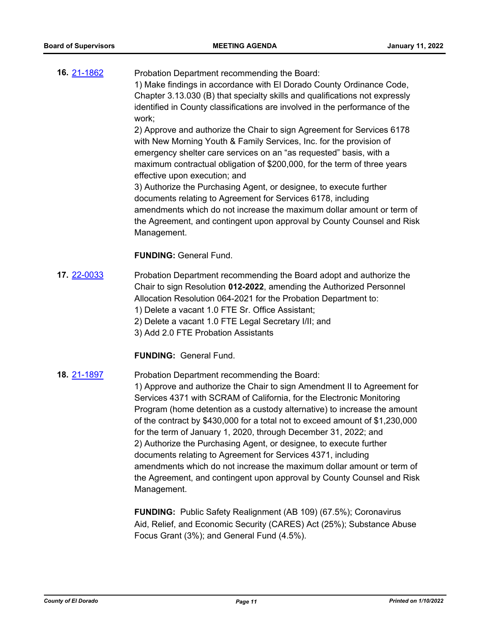**16.** [21-1862](http://eldorado.legistar.com/gateway.aspx?m=l&id=/matter.aspx?key=30758) Probation Department recommending the Board: 1) Make findings in accordance with El Dorado County Ordinance Code, Chapter 3.13.030 (B) that specialty skills and qualifications not expressly identified in County classifications are involved in the performance of the work;

2) Approve and authorize the Chair to sign Agreement for Services 6178 with New Morning Youth & Family Services, Inc. for the provision of emergency shelter care services on an "as requested" basis, with a maximum contractual obligation of \$200,000, for the term of three years effective upon execution; and

3) Authorize the Purchasing Agent, or designee, to execute further documents relating to Agreement for Services 6178, including amendments which do not increase the maximum dollar amount or term of the Agreement, and contingent upon approval by County Counsel and Risk Management.

## **FUNDING:** General Fund.

- **17.** [22-0033](http://eldorado.legistar.com/gateway.aspx?m=l&id=/matter.aspx?key=30933) Probation Department recommending the Board adopt and authorize the Chair to sign Resolution **012-2022**, amending the Authorized Personnel Allocation Resolution 064-2021 for the Probation Department to: 1) Delete a vacant 1.0 FTE Sr. Office Assistant; 2) Delete a vacant 1.0 FTE Legal Secretary I/II; and
	- 3) Add 2.0 FTE Probation Assistants

#### **FUNDING:** General Fund.

#### **18.** [21-1897](http://eldorado.legistar.com/gateway.aspx?m=l&id=/matter.aspx?key=30793) Probation Department recommending the Board:

1) Approve and authorize the Chair to sign Amendment II to Agreement for Services 4371 with SCRAM of California, for the Electronic Monitoring Program (home detention as a custody alternative) to increase the amount of the contract by \$430,000 for a total not to exceed amount of \$1,230,000 for the term of January 1, 2020, through December 31, 2022; and 2) Authorize the Purchasing Agent, or designee, to execute further documents relating to Agreement for Services 4371, including amendments which do not increase the maximum dollar amount or term of the Agreement, and contingent upon approval by County Counsel and Risk Management.

**FUNDING:** Public Safety Realignment (AB 109) (67.5%); Coronavirus Aid, Relief, and Economic Security (CARES) Act (25%); Substance Abuse Focus Grant (3%); and General Fund (4.5%).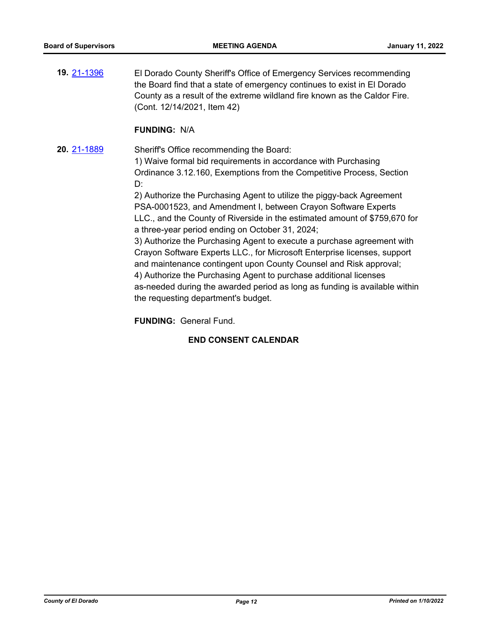**19.** [21-1396](http://eldorado.legistar.com/gateway.aspx?m=l&id=/matter.aspx?key=30291) El Dorado County Sheriff's Office of Emergency Services recommending the Board find that a state of emergency continues to exist in El Dorado County as a result of the extreme wildland fire known as the Caldor Fire. (Cont. 12/14/2021, Item 42)

#### **FUNDING:** N/A

**20.** [21-1889](http://eldorado.legistar.com/gateway.aspx?m=l&id=/matter.aspx?key=30785) Sheriff's Office recommending the Board: 1) Waive formal bid requirements in accordance with Purchasing Ordinance 3.12.160, Exemptions from the Competitive Process, Section D:

> 2) Authorize the Purchasing Agent to utilize the piggy-back Agreement PSA-0001523, and Amendment I, between Crayon Software Experts LLC., and the County of Riverside in the estimated amount of \$759,670 for a three-year period ending on October 31, 2024;

> 3) Authorize the Purchasing Agent to execute a purchase agreement with Crayon Software Experts LLC., for Microsoft Enterprise licenses, support and maintenance contingent upon County Counsel and Risk approval; 4) Authorize the Purchasing Agent to purchase additional licenses as-needed during the awarded period as long as funding is available within the requesting department's budget.

**FUNDING:** General Fund.

#### **END CONSENT CALENDAR**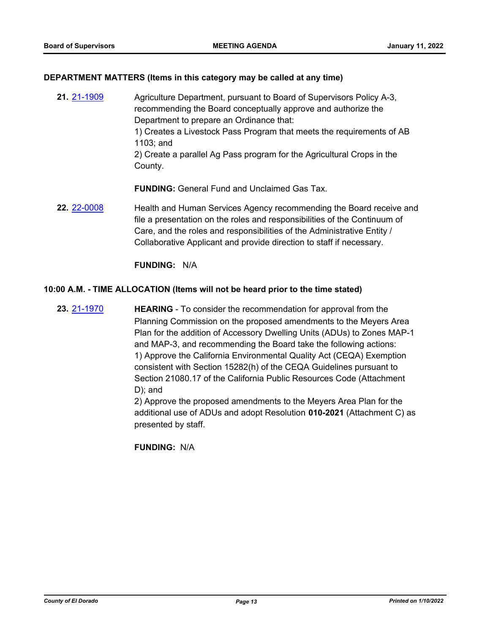#### **DEPARTMENT MATTERS (Items in this category may be called at any time)**

**21.** [21-1909](http://eldorado.legistar.com/gateway.aspx?m=l&id=/matter.aspx?key=30805) Agriculture Department, pursuant to Board of Supervisors Policy A-3, recommending the Board conceptually approve and authorize the Department to prepare an Ordinance that: 1) Creates a Livestock Pass Program that meets the requirements of AB 1103; and 2) Create a parallel Ag Pass program for the Agricultural Crops in the County.

**FUNDING:** General Fund and Unclaimed Gas Tax.

**22.** [22-0008](http://eldorado.legistar.com/gateway.aspx?m=l&id=/matter.aspx?key=30908) Health and Human Services Agency recommending the Board receive and file a presentation on the roles and responsibilities of the Continuum of Care, and the roles and responsibilities of the Administrative Entity / Collaborative Applicant and provide direction to staff if necessary.

**FUNDING:** N/A

#### **10:00 A.M. - TIME ALLOCATION (Items will not be heard prior to the time stated)**

**23.** [21-1970](http://eldorado.legistar.com/gateway.aspx?m=l&id=/matter.aspx?key=30866) **HEARING** - To consider the recommendation for approval from the Planning Commission on the proposed amendments to the Meyers Area Plan for the addition of Accessory Dwelling Units (ADUs) to Zones MAP-1 and MAP-3, and recommending the Board take the following actions: 1) Approve the California Environmental Quality Act (CEQA) Exemption consistent with Section 15282(h) of the CEQA Guidelines pursuant to Section 21080.17 of the California Public Resources Code (Attachment D); and

2) Approve the proposed amendments to the Meyers Area Plan for the additional use of ADUs and adopt Resolution **010-2021** (Attachment C) as presented by staff.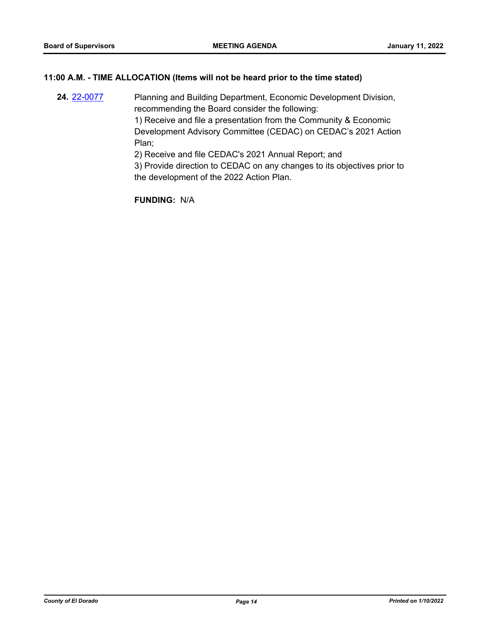## **11:00 A.M. - TIME ALLOCATION (Items will not be heard prior to the time stated)**

**24.** [22-0077](http://eldorado.legistar.com/gateway.aspx?m=l&id=/matter.aspx?key=30977) Planning and Building Department, Economic Development Division, recommending the Board consider the following: 1) Receive and file a presentation from the Community & Economic Development Advisory Committee (CEDAC) on CEDAC's 2021 Action Plan; 2) Receive and file CEDAC's 2021 Annual Report; and

3) Provide direction to CEDAC on any changes to its objectives prior to the development of the 2022 Action Plan.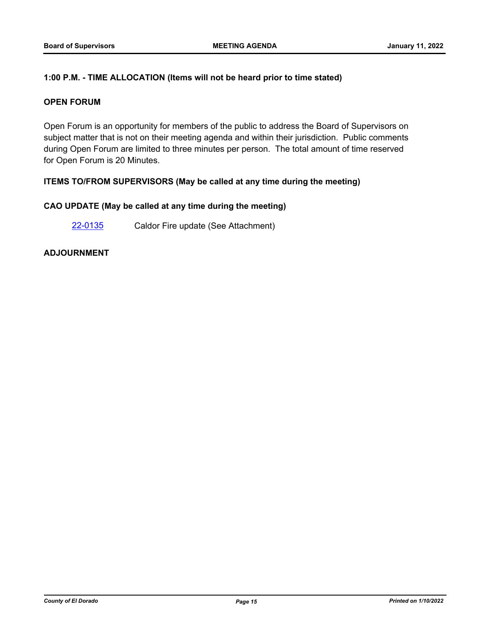## **1:00 P.M. - TIME ALLOCATION (Items will not be heard prior to time stated)**

#### **OPEN FORUM**

Open Forum is an opportunity for members of the public to address the Board of Supervisors on subject matter that is not on their meeting agenda and within their jurisdiction. Public comments during Open Forum are limited to three minutes per person. The total amount of time reserved for Open Forum is 20 Minutes.

## **ITEMS TO/FROM SUPERVISORS (May be called at any time during the meeting)**

#### **CAO UPDATE (May be called at any time during the meeting)**

[22-0135](http://eldorado.legistar.com/gateway.aspx?m=l&id=/matter.aspx?key=31036) Caldor Fire update (See Attachment)

## **ADJOURNMENT**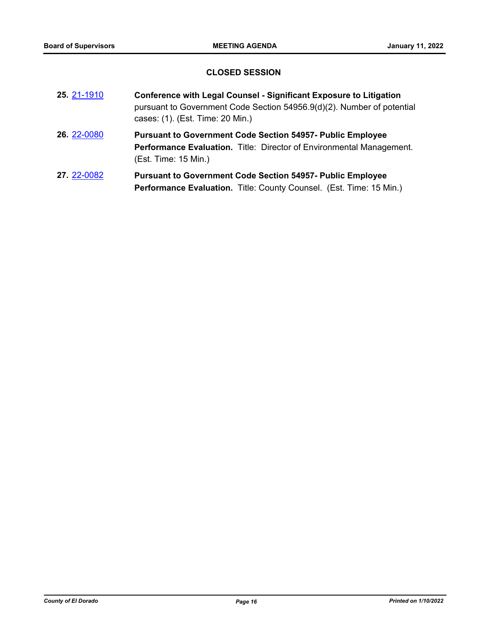## **CLOSED SESSION**

| 25 21-1910  | <b>Conference with Legal Counsel - Significant Exposure to Litigation</b><br>pursuant to Government Code Section 54956.9(d)(2). Number of potential<br>cases: (1). (Est. Time: 20 Min.) |
|-------------|-----------------------------------------------------------------------------------------------------------------------------------------------------------------------------------------|
| 26. 22-0080 | <b>Pursuant to Government Code Section 54957- Public Employee</b><br>Performance Evaluation. Title: Director of Environmental Management.<br>(Est. Time: 15 Min.)                       |
| 27.22-0082  | <b>Pursuant to Government Code Section 54957- Public Employee</b><br>Performance Evaluation. Title: County Counsel. (Est. Time: 15 Min.)                                                |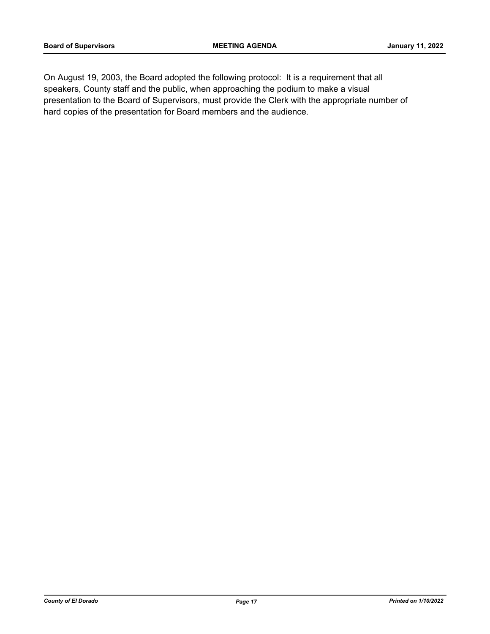On August 19, 2003, the Board adopted the following protocol: It is a requirement that all speakers, County staff and the public, when approaching the podium to make a visual presentation to the Board of Supervisors, must provide the Clerk with the appropriate number of hard copies of the presentation for Board members and the audience.